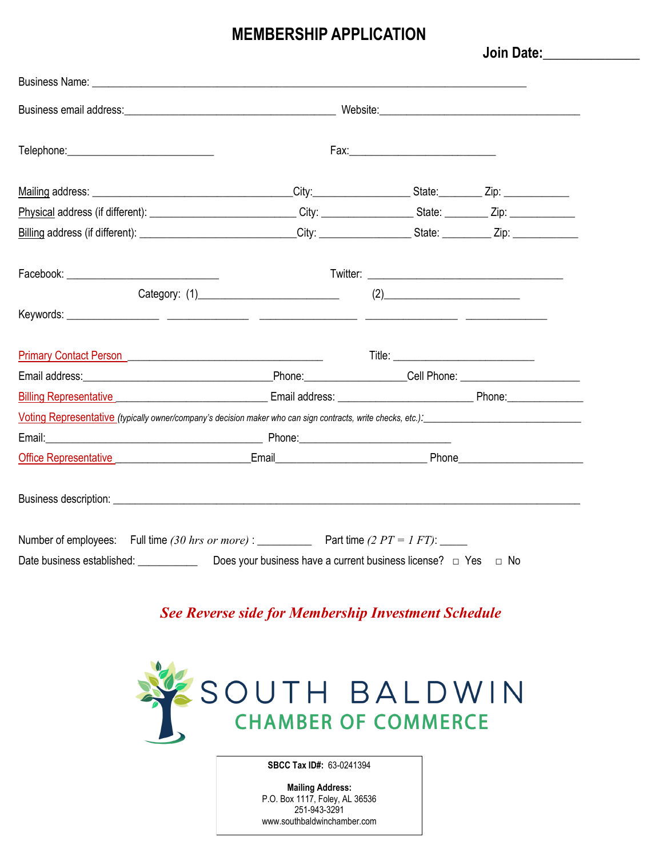## **MEMBERSHIP APPLICATION**

**Join Date:\_\_\_\_\_\_\_\_\_\_\_\_\_\_** 

| Facebook: _________________________________                                                                                                                                                                                    |                                                                          |     |  |
|--------------------------------------------------------------------------------------------------------------------------------------------------------------------------------------------------------------------------------|--------------------------------------------------------------------------|-----|--|
|                                                                                                                                                                                                                                |                                                                          | (2) |  |
|                                                                                                                                                                                                                                |                                                                          |     |  |
| Primary Contact Person                                                                                                                                                                                                         |                                                                          |     |  |
|                                                                                                                                                                                                                                |                                                                          |     |  |
| Billing Representative Communication Communication Communication Communication Communication Communication Comm                                                                                                                |                                                                          |     |  |
| Voting Representative (typically owner/company's decision maker who can sign contracts, write checks, etc.):                                                                                                                   |                                                                          |     |  |
|                                                                                                                                                                                                                                |                                                                          |     |  |
| Office Representative entertainment and Email Email Email Phone Phone Phone Phone Phone Phone Phone Phone Phone Phone Phone Phone Phone Phone Phone Phone Phone Phone Phone Phone Phone Phone Phone Phone Phone Phone Phone Ph |                                                                          |     |  |
|                                                                                                                                                                                                                                |                                                                          |     |  |
| Number of employees: Full time (30 hrs or more) : _____________ Part time (2 PT = 1 FT): _____                                                                                                                                 |                                                                          |     |  |
| Date business established: ____________                                                                                                                                                                                        | Does your business have a current business license? $\Box$ Yes $\Box$ No |     |  |

*See Reverse side for Membership Investment Schedule* 



**SBCC Tax ID#:** 63-0241394

**Mailing Address:** P.O. Box 1117, Foley, AL 36536 251-943-3291 www.southbaldwinchamber.com